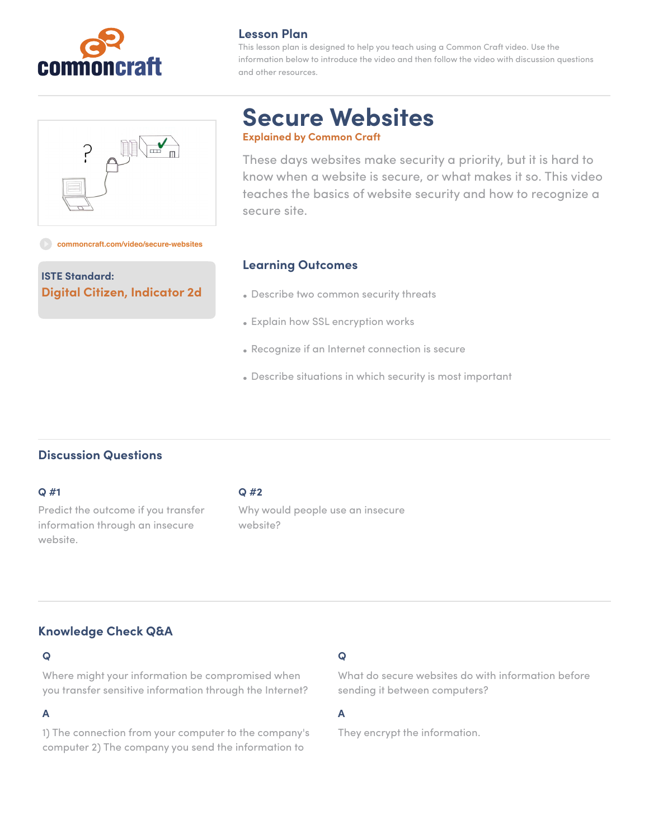

# **Lesson Plan**

This lesson plan is designed to help you teach using a Common Craft video. Use the information below to introduce the video and then follow the video with discussion questions and other resources.



# **Secure Websites Explained by Common Craft**

These days websites make security a priority, but it is hard to know when a website is secure, or what makes it so. This video teaches the basics of website security and how to recognize a

**ISTE Standard: Digital Citizen, Indicator 2d**

**[commoncraft.com/video/secure-websites](http://commoncraft.com/video/secure-websites)**

### **Learning Outcomes**

secure site.

- Describe two common security threats
- Explain how SSL encryption works
- Recognize if an Internet connection is secure
- Describe situations in which security is most important

# **Discussion Questions**

#### **Q #1**

Predict the outcome if you transfer information through an insecure website.

#### **Q #2**

Why would people use an insecure website?

# **Knowledge Check Q&A**

### **Q**

Where might your information be compromised when you transfer sensitive information through the Internet?

# **A**

1) The connection from your computer to the company's computer 2) The company you send the information to

### **Q**

What do secure websites do with information before sending it between computers?

### **A**

They encrypt the information.